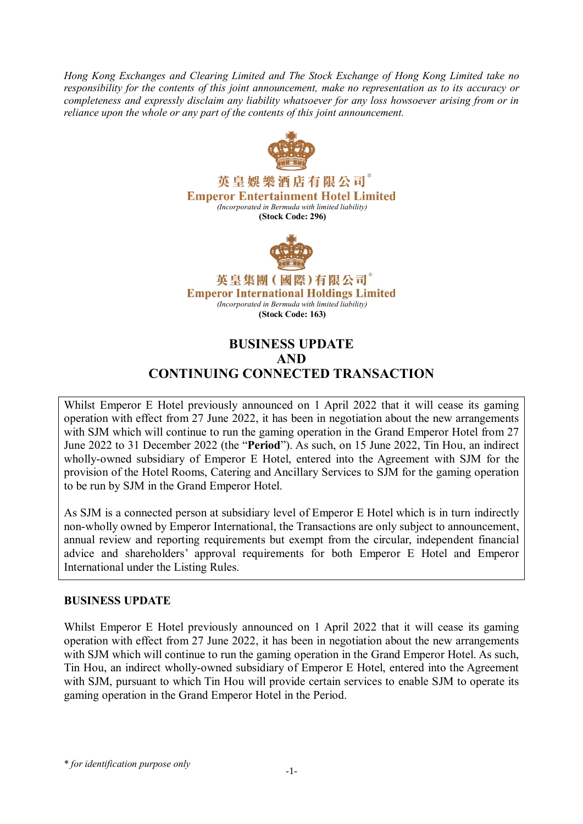*Hong Kong Exchanges and Clearing Limited and The Stock Exchange of Hong Kong Limited take no responsibility for the contents of this joint announcement, make no representation as to its accuracy or completeness and expressly disclaim any liability whatsoever for any loss howsoever arising from or in reliance upon the whole or any part of the contents of this joint announcement.*



英皇娛樂酒店有限公司。 **Emperor Entertainment Hotel Limited** *(Incorporated in Bermuda with limited liability)* **(Stock Code: 296)**



英皇集團(國際)有限公司 **Emperor International Holdings Limited** *(Incorporated in Bermuda with limited liability)* **(Stock Code: 163)**

# **BUSINESS UPDATE AND CONTINUING CONNECTED TRANSACTION**

Whilst Emperor E Hotel previously announced on 1 April 2022 that it will cease its gaming operation with effect from 27 June 2022, it has been in negotiation about the new arrangements with SJM which will continue to run the gaming operation in the Grand Emperor Hotel from 27 June 2022 to 31 December 2022 (the "**Period**"). As such, on 15 June 2022, Tin Hou, an indirect wholly-owned subsidiary of Emperor E Hotel, entered into the Agreement with SJM for the provision of the Hotel Rooms, Catering and Ancillary Services to SJM for the gaming operation to be run by SJM in the Grand Emperor Hotel.

As SJM is a connected person at subsidiary level of Emperor E Hotel which is in turn indirectly non-wholly owned by Emperor International, the Transactions are only subject to announcement, annual review and reporting requirements but exempt from the circular, independent financial advice and shareholders' approval requirements for both Emperor E Hotel and Emperor International under the Listing Rules.

## **BUSINESS UPDATE**

Whilst Emperor E Hotel previously announced on 1 April 2022 that it will cease its gaming operation with effect from 27 June 2022, it has been in negotiation about the new arrangements with SJM which will continue to run the gaming operation in the Grand Emperor Hotel. As such, Tin Hou, an indirect wholly-owned subsidiary of Emperor E Hotel, entered into the Agreement with SJM, pursuant to which Tin Hou will provide certain services to enable SJM to operate its gaming operation in the Grand Emperor Hotel in the Period.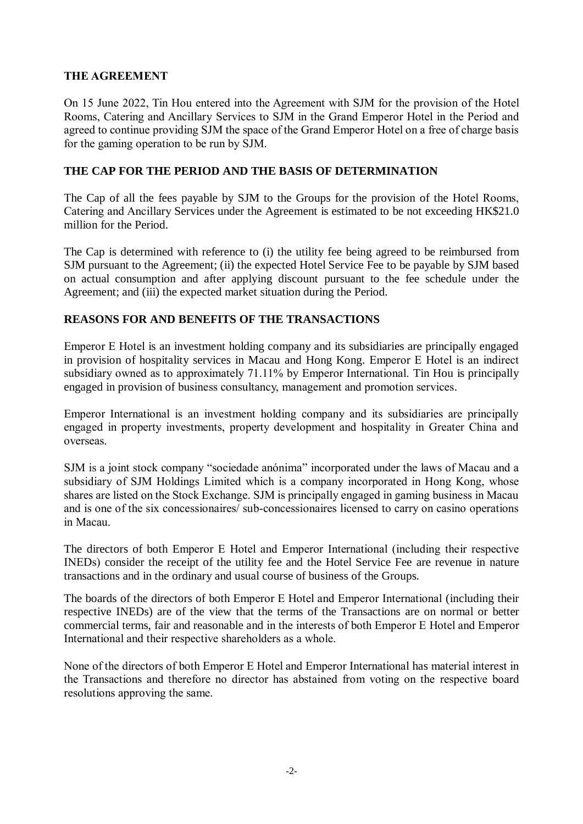## **THE AGREEMENT**

On 15 June 2022, Tin Hou entered into the Agreement with SJM for the provision of the Hotel Rooms, Catering and Ancillary Services to SJM in the Grand Emperor Hotel in the Period and agreed to continue providing SJM the space of the Grand Emperor Hotel on a free of charge basis for the gaming operation to be run by SJM.

## **THE CAP FOR THE PERIOD AND THE BASIS OF DETERMINATION**

The Cap of all the fees payable by SJM to the Groups for the provision of the Hotel Rooms, Catering and Ancillary Services under the Agreement is estimated to be not exceeding HK\$21.0 million for the Period.

The Cap is determined with reference to (i) the utility fee being agreed to be reimbursed from SJM pursuant to the Agreement; (ii) the expected Hotel Service Fee to be payable by SJM based on actual consumption and after applying discount pursuant to the fee schedule under the Agreement; and (iii) the expected market situation during the Period.

#### **REASONS FOR AND BENEFITS OF THE TRANSACTIONS**

Emperor E Hotel is an investment holding company and its subsidiaries are principally engaged in provision of hospitality services in Macau and Hong Kong. Emperor E Hotel is an indirect subsidiary owned as to approximately 71.11% by Emperor International. Tin Hou is principally engaged in provision of business consultancy, management and promotion services.

Emperor International is an investment holding company and its subsidiaries are principally engaged in property investments, property development and hospitality in Greater China and overseas.

SJM is a joint stock company "sociedade anónima" incorporated under the laws of Macau and a subsidiary of SJM Holdings Limited which is a company incorporated in Hong Kong, whose shares are listed on the Stock Exchange. SJM is principally engaged in gaming business in Macau and is one of the six concessionaires/ sub-concessionaires licensed to carry on casino operations in Macau.

The directors of both Emperor E Hotel and Emperor International (including their respective INEDs) consider the receipt of the utility fee and the Hotel Service Fee are revenue in nature transactions and in the ordinary and usual course of business of the Groups.

The boards of the directors of both Emperor E Hotel and Emperor International (including their respective INEDs) are of the view that the terms of the Transactions are on normal or better commercial terms, fair and reasonable and in the interests of both Emperor E Hotel and Emperor International and their respective shareholders as a whole.

None of the directors of both Emperor E Hotel and Emperor International has material interest in the Transactions and therefore no director has abstained from voting on the respective board resolutions approving the same.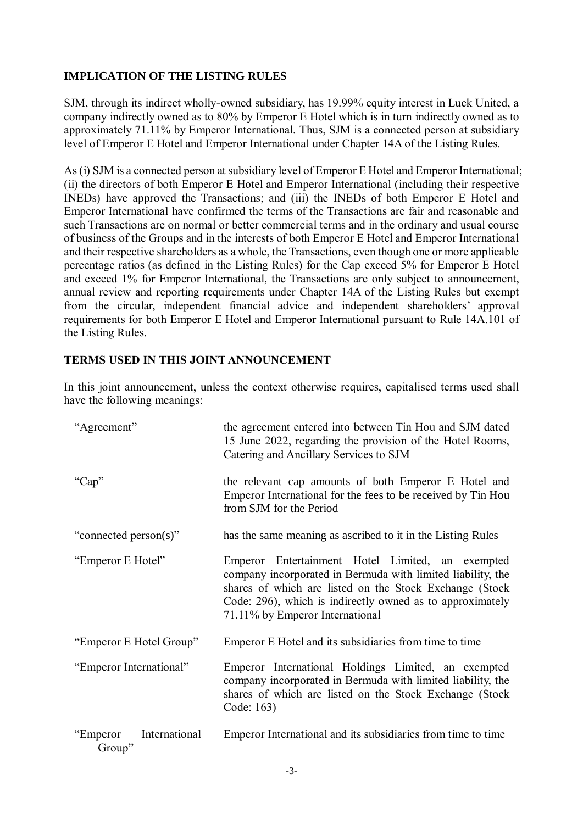## **IMPLICATION OF THE LISTING RULES**

SJM, through its indirect wholly-owned subsidiary, has 19.99% equity interest in Luck United, a company indirectly owned as to 80% by Emperor E Hotel which is in turn indirectly owned as to approximately 71.11% by Emperor International. Thus, SJM is a connected person at subsidiary level of Emperor E Hotel and Emperor International under Chapter 14A of the Listing Rules.

As (i) SJM is a connected person at subsidiary level of Emperor E Hotel and Emperor International; (ii) the directors of both Emperor E Hotel and Emperor International (including their respective INEDs) have approved the Transactions; and (iii) the INEDs of both Emperor E Hotel and Emperor International have confirmed the terms of the Transactions are fair and reasonable and such Transactions are on normal or better commercial terms and in the ordinary and usual course of business of the Groups and in the interests of both Emperor E Hotel and Emperor International and their respective shareholders as a whole, the Transactions, even though one or more applicable percentage ratios (as defined in the Listing Rules) for the Cap exceed 5% for Emperor E Hotel and exceed 1% for Emperor International, the Transactions are only subject to announcement, annual review and reporting requirements under Chapter 14A of the Listing Rules but exempt from the circular, independent financial advice and independent shareholders' approval requirements for both Emperor E Hotel and Emperor International pursuant to Rule 14A.101 of the Listing Rules.

#### **TERMS USED IN THIS JOINT ANNOUNCEMENT**

In this joint announcement, unless the context otherwise requires, capitalised terms used shall have the following meanings:

| "Agreement"                          | the agreement entered into between Tin Hou and SJM dated<br>15 June 2022, regarding the provision of the Hotel Rooms,<br>Catering and Ancillary Services to SJM                                                                                                            |
|--------------------------------------|----------------------------------------------------------------------------------------------------------------------------------------------------------------------------------------------------------------------------------------------------------------------------|
| "Cap"                                | the relevant cap amounts of both Emperor E Hotel and<br>Emperor International for the fees to be received by Tin Hou<br>from SJM for the Period                                                                                                                            |
| "connected person(s)"                | has the same meaning as ascribed to it in the Listing Rules                                                                                                                                                                                                                |
| "Emperor E Hotel"                    | Emperor Entertainment Hotel Limited, an exempted<br>company incorporated in Bermuda with limited liability, the<br>shares of which are listed on the Stock Exchange (Stock<br>Code: 296), which is indirectly owned as to approximately<br>71.11% by Emperor International |
| "Emperor E Hotel Group"              | Emperor E Hotel and its subsidiaries from time to time                                                                                                                                                                                                                     |
| "Emperor International"              | Emperor International Holdings Limited, an exempted<br>company incorporated in Bermuda with limited liability, the<br>shares of which are listed on the Stock Exchange (Stock<br>Code: 163)                                                                                |
| International<br>"Emperor"<br>Group" | Emperor International and its subsidiaries from time to time                                                                                                                                                                                                               |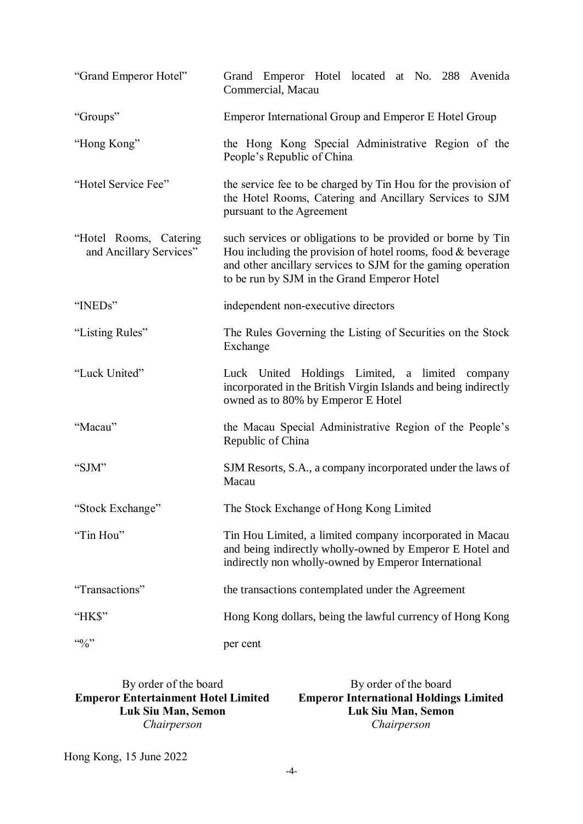| "Grand Emperor Hotel"                             | Grand Emperor Hotel located at No. 288 Avenida<br>Commercial, Macau                                                                                                                                                                         |  |
|---------------------------------------------------|---------------------------------------------------------------------------------------------------------------------------------------------------------------------------------------------------------------------------------------------|--|
| "Groups"                                          | Emperor International Group and Emperor E Hotel Group                                                                                                                                                                                       |  |
| "Hong Kong"                                       | the Hong Kong Special Administrative Region of the<br>People's Republic of China                                                                                                                                                            |  |
| "Hotel Service Fee"                               | the service fee to be charged by Tin Hou for the provision of<br>the Hotel Rooms, Catering and Ancillary Services to SJM<br>pursuant to the Agreement                                                                                       |  |
| "Hotel Rooms, Catering<br>and Ancillary Services" | such services or obligations to be provided or borne by Tin<br>Hou including the provision of hotel rooms, food $&$ beverage<br>and other ancillary services to SJM for the gaming operation<br>to be run by SJM in the Grand Emperor Hotel |  |
| "INEDs"                                           | independent non-executive directors                                                                                                                                                                                                         |  |
| "Listing Rules"                                   | The Rules Governing the Listing of Securities on the Stock<br>Exchange                                                                                                                                                                      |  |
| "Luck United"                                     | Luck United Holdings Limited, a limited company<br>incorporated in the British Virgin Islands and being indirectly<br>owned as to 80% by Emperor E Hotel                                                                                    |  |
| "Macau"                                           | the Macau Special Administrative Region of the People's<br>Republic of China                                                                                                                                                                |  |
| "SJM"                                             | SJM Resorts, S.A., a company incorporated under the laws of<br>Macau                                                                                                                                                                        |  |
| "Stock Exchange"                                  | The Stock Exchange of Hong Kong Limited                                                                                                                                                                                                     |  |
| "Tin Hou"                                         | Tin Hou Limited, a limited company incorporated in Macau<br>and being indirectly wholly-owned by Emperor E Hotel and<br>indirectly non wholly-owned by Emperor International                                                                |  |
| "Transactions"                                    | the transactions contemplated under the Agreement                                                                                                                                                                                           |  |
| "HK\$"                                            | Hong Kong dollars, being the lawful currency of Hong Kong                                                                                                                                                                                   |  |
| $\cdot \cdot \cdot \cdot \cdot$                   | per cent                                                                                                                                                                                                                                    |  |

By order of the board **Emperor Entertainment Hotel Limited Luk Siu Man, Semon** *Chairperson* By order of the board **Emperor International Holdings Limited Luk Siu Man, Semon** *Chairperson*

Hong Kong, 15 June 2022